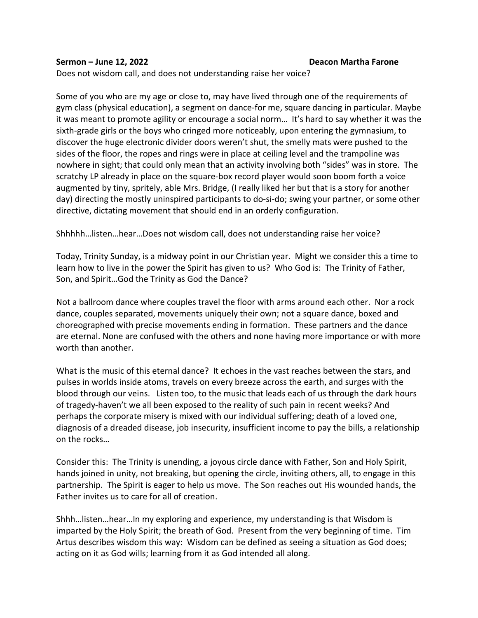## **Sermon – June 12, 2022 Deacon Martha Farone**

Does not wisdom call, and does not understanding raise her voice?

Some of you who are my age or close to, may have lived through one of the requirements of gym class (physical education), a segment on dance-for me, square dancing in particular. Maybe it was meant to promote agility or encourage a social norm… It's hard to say whether it was the sixth-grade girls or the boys who cringed more noticeably, upon entering the gymnasium, to discover the huge electronic divider doors weren't shut, the smelly mats were pushed to the sides of the floor, the ropes and rings were in place at ceiling level and the trampoline was nowhere in sight; that could only mean that an activity involving both "sides" was in store. The scratchy LP already in place on the square-box record player would soon boom forth a voice augmented by tiny, spritely, able Mrs. Bridge, (I really liked her but that is a story for another day) directing the mostly uninspired participants to do-si-do; swing your partner, or some other directive, dictating movement that should end in an orderly configuration.

Shhhhh…listen…hear…Does not wisdom call, does not understanding raise her voice?

Today, Trinity Sunday, is a midway point in our Christian year. Might we consider this a time to learn how to live in the power the Spirit has given to us? Who God is: The Trinity of Father, Son, and Spirit…God the Trinity as God the Dance?

Not a ballroom dance where couples travel the floor with arms around each other. Nor a rock dance, couples separated, movements uniquely their own; not a square dance, boxed and choreographed with precise movements ending in formation. These partners and the dance are eternal. None are confused with the others and none having more importance or with more worth than another.

What is the music of this eternal dance? It echoes in the vast reaches between the stars, and pulses in worlds inside atoms, travels on every breeze across the earth, and surges with the blood through our veins. Listen too, to the music that leads each of us through the dark hours of tragedy-haven't we all been exposed to the reality of such pain in recent weeks? And perhaps the corporate misery is mixed with our individual suffering; death of a loved one, diagnosis of a dreaded disease, job insecurity, insufficient income to pay the bills, a relationship on the rocks…

Consider this: The Trinity is unending, a joyous circle dance with Father, Son and Holy Spirit, hands joined in unity, not breaking, but opening the circle, inviting others, all, to engage in this partnership. The Spirit is eager to help us move. The Son reaches out His wounded hands, the Father invites us to care for all of creation.

Shhh…listen…hear…In my exploring and experience, my understanding is that Wisdom is imparted by the Holy Spirit; the breath of God. Present from the very beginning of time. Tim Artus describes wisdom this way: Wisdom can be defined as seeing a situation as God does; acting on it as God wills; learning from it as God intended all along.